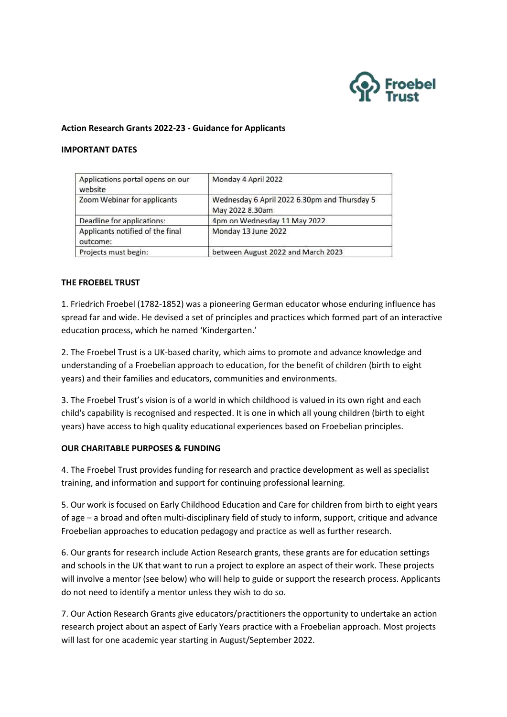

### **Action Research Grants 2022-23 - Guidance for Applicants**

#### **IMPORTANT DATES**

| Applications portal opens on our<br>website  | Monday 4 April 2022                                             |
|----------------------------------------------|-----------------------------------------------------------------|
| Zoom Webinar for applicants                  | Wednesday 6 April 2022 6.30pm and Thursday 5<br>May 2022 8.30am |
| Deadline for applications:                   | 4pm on Wednesday 11 May 2022                                    |
| Applicants notified of the final<br>outcome: | Monday 13 June 2022                                             |
| Projects must begin:                         | between August 2022 and March 2023                              |

### **THE FROEBEL TRUST**

1. Friedrich Froebel (1782-1852) was a pioneering German educator whose enduring influence has spread far and wide. He devised a set of principles and practices which formed part of an interactive education process, which he named 'Kindergarten.'

2. The Froebel Trust is a UK-based charity, which aims to promote and advance knowledge and understanding of a Froebelian approach to education, for the benefit of children (birth to eight years) and their families and educators, communities and environments.

3. The Froebel Trust's vision is of a world in which childhood is valued in its own right and each child's capability is recognised and respected. It is one in which all young children (birth to eight years) have access to high quality educational experiences based on Froebelian principles.

#### **OUR CHARITABLE PURPOSES & FUNDING**

4. The Froebel Trust provides funding for research and practice development as well as specialist training, and information and support for continuing professional learning.

5. Our work is focused on Early Childhood Education and Care for children from birth to eight years of age – a broad and often multi-disciplinary field of study to inform, support, critique and advance Froebelian approaches to education pedagogy and practice as well as further research.

6. Our grants for research include Action Research grants, these grants are for education settings and schools in the UK that want to run a project to explore an aspect of their work. These projects will involve a mentor (see below) who will help to guide or support the research process. Applicants do not need to identify a mentor unless they wish to do so.

7. Our Action Research Grants give educators/practitioners the opportunity to undertake an action research project about an aspect of Early Years practice with a Froebelian approach. Most projects will last for one academic year starting in August/September 2022.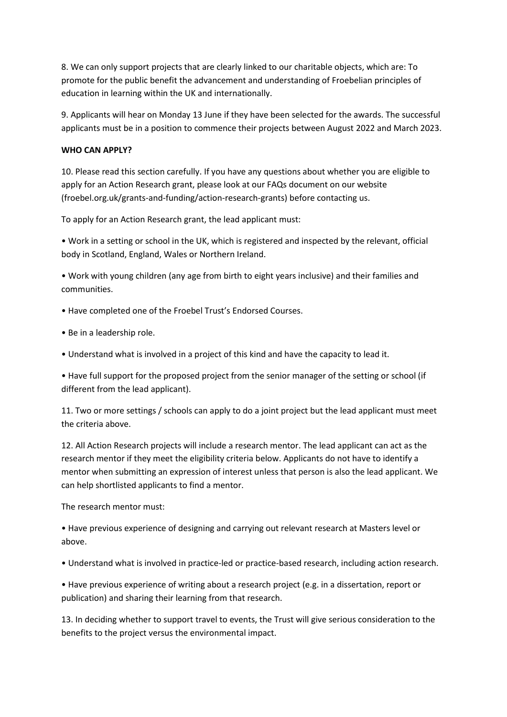8. We can only support projects that are clearly linked to our charitable objects, which are: To promote for the public benefit the advancement and understanding of Froebelian principles of education in learning within the UK and internationally.

9. Applicants will hear on Monday 13 June if they have been selected for the awards. The successful applicants must be in a position to commence their projects between August 2022 and March 2023.

## **WHO CAN APPLY?**

10. Please read this section carefully. If you have any questions about whether you are eligible to apply for an Action Research grant, please look at our FAQs document on our website (froebel.org.uk/grants-and-funding/action-research-grants) before contacting us.

To apply for an Action Research grant, the lead applicant must:

• Work in a setting or school in the UK, which is registered and inspected by the relevant, official body in Scotland, England, Wales or Northern Ireland.

• Work with young children (any age from birth to eight years inclusive) and their families and communities.

• Have completed one of the Froebel Trust's Endorsed Courses.

- Be in a leadership role.
- Understand what is involved in a project of this kind and have the capacity to lead it.

• Have full support for the proposed project from the senior manager of the setting or school (if different from the lead applicant).

11. Two or more settings / schools can apply to do a joint project but the lead applicant must meet the criteria above.

12. All Action Research projects will include a research mentor. The lead applicant can act as the research mentor if they meet the eligibility criteria below. Applicants do not have to identify a mentor when submitting an expression of interest unless that person is also the lead applicant. We can help shortlisted applicants to find a mentor.

The research mentor must:

• Have previous experience of designing and carrying out relevant research at Masters level or above.

• Understand what is involved in practice-led or practice-based research, including action research.

• Have previous experience of writing about a research project (e.g. in a dissertation, report or publication) and sharing their learning from that research.

13. In deciding whether to support travel to events, the Trust will give serious consideration to the benefits to the project versus the environmental impact.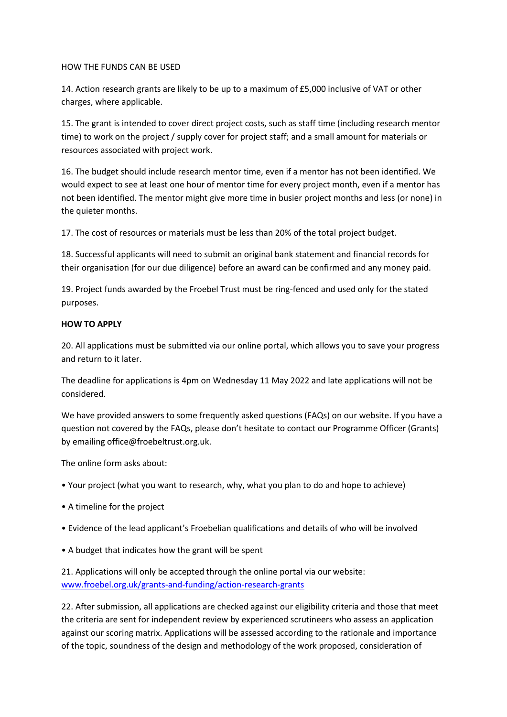### HOW THE FUNDS CAN BE USED

14. Action research grants are likely to be up to a maximum of £5,000 inclusive of VAT or other charges, where applicable.

15. The grant is intended to cover direct project costs, such as staff time (including research mentor time) to work on the project / supply cover for project staff; and a small amount for materials or resources associated with project work.

16. The budget should include research mentor time, even if a mentor has not been identified. We would expect to see at least one hour of mentor time for every project month, even if a mentor has not been identified. The mentor might give more time in busier project months and less (or none) in the quieter months.

17. The cost of resources or materials must be less than 20% of the total project budget.

18. Successful applicants will need to submit an original bank statement and financial records for their organisation (for our due diligence) before an award can be confirmed and any money paid.

19. Project funds awarded by the Froebel Trust must be ring-fenced and used only for the stated purposes.

## **HOW TO APPLY**

20. All applications must be submitted via our online portal, which allows you to save your progress and return to it later.

The deadline for applications is 4pm on Wednesday 11 May 2022 and late applications will not be considered.

We have provided answers to some frequently asked questions (FAQs) on our website. If you have a question not covered by the FAQs, please don't hesitate to contact our Programme Officer (Grants) by emailing office@froebeltrust.org.uk.

The online form asks about:

- Your project (what you want to research, why, what you plan to do and hope to achieve)
- A timeline for the project
- Evidence of the lead applicant's Froebelian qualifications and details of who will be involved
- A budget that indicates how the grant will be spent

21. Applications will only be accepted through the online portal via our website: [www.froebel.org.uk/grants-and-funding/action-research-grants](http://www.froebel.org.uk/grants-and-funding/action-research-grants)

22. After submission, all applications are checked against our eligibility criteria and those that meet the criteria are sent for independent review by experienced scrutineers who assess an application against our scoring matrix. Applications will be assessed according to the rationale and importance of the topic, soundness of the design and methodology of the work proposed, consideration of